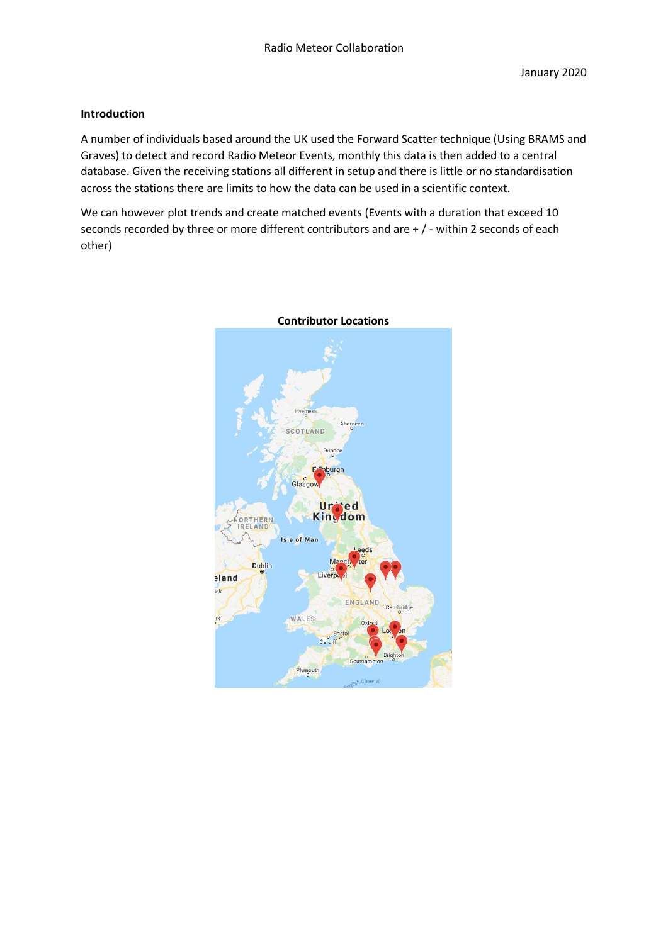# **Introduction**

A number of individuals based around the UK used the Forward Scatter technique (Using BRAMS and Graves) to detect and record Radio Meteor Events, monthly this data is then added to a central database. Given the receiving stations all different in setup and there is little or no standardisation across the stations there are limits to how the data can be used in a scientific context.

We can however plot trends and create matched events (Events with a duration that exceed 10 seconds recorded by three or more different contributors and are + / - within 2 seconds of each other)



#### **Contributor Locations**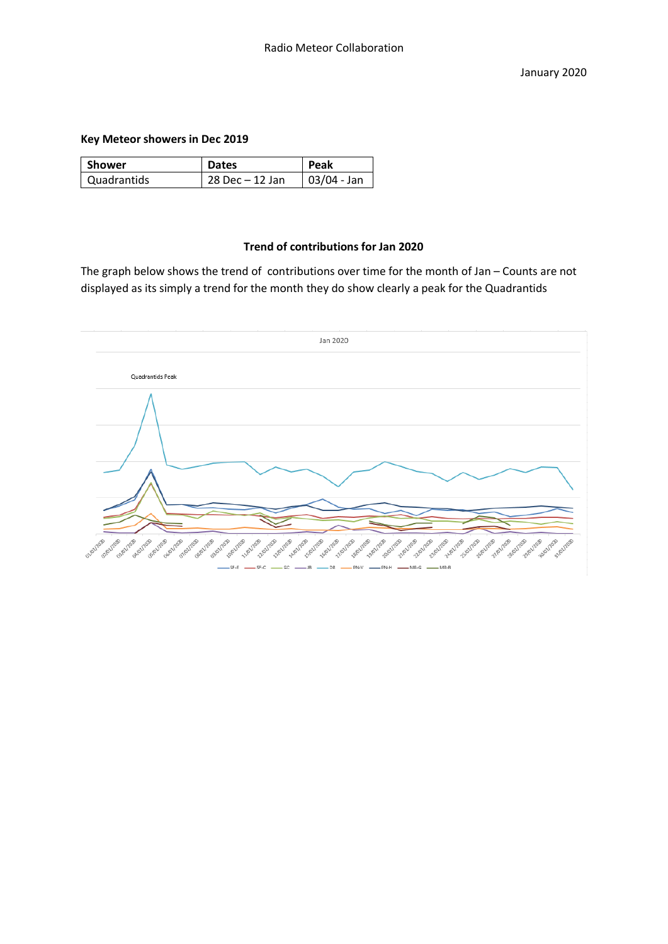## **Key Meteor showers in Dec 2019**

| Shower      | <b>Dates</b>       | <b>Peak</b>   |
|-------------|--------------------|---------------|
| Quadrantids | $28$ Dec $-12$ Jan | $03/04 - Jan$ |

### **Trend of contributions for Jan 2020**

The graph below shows the trend of contributions over time for the month of Jan – Counts are not displayed as its simply a trend for the month they do show clearly a peak for the Quadrantids

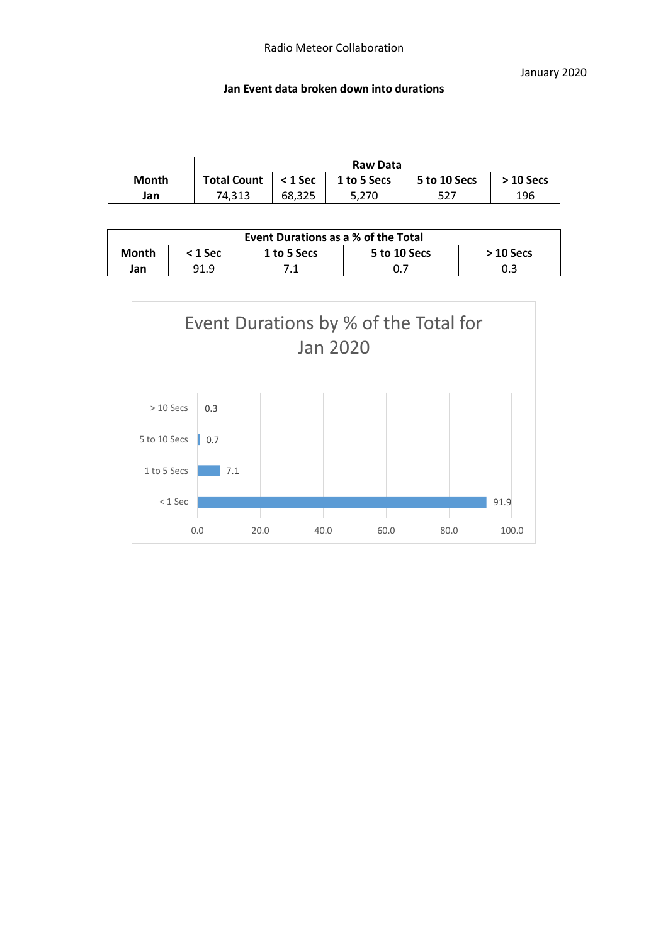January 2020

### **Jan Event data broken down into durations**

|       | Raw Data           |           |             |              |            |  |
|-------|--------------------|-----------|-------------|--------------|------------|--|
| Month | <b>Total Count</b> | $<$ 1 Sec | 1 to 5 Secs | 5 to 10 Secs | $>10$ Secs |  |
| Jan   | 74.313             | 68.325    | 5,270       | 527          | 196        |  |

| Event Durations as a % of the Total |           |             |              |            |  |  |
|-------------------------------------|-----------|-------------|--------------|------------|--|--|
| Month                               | $< 1$ Sec | 1 to 5 Secs | 5 to 10 Secs | $>10$ Secs |  |  |
| Jan                                 | 91.9      |             |              |            |  |  |

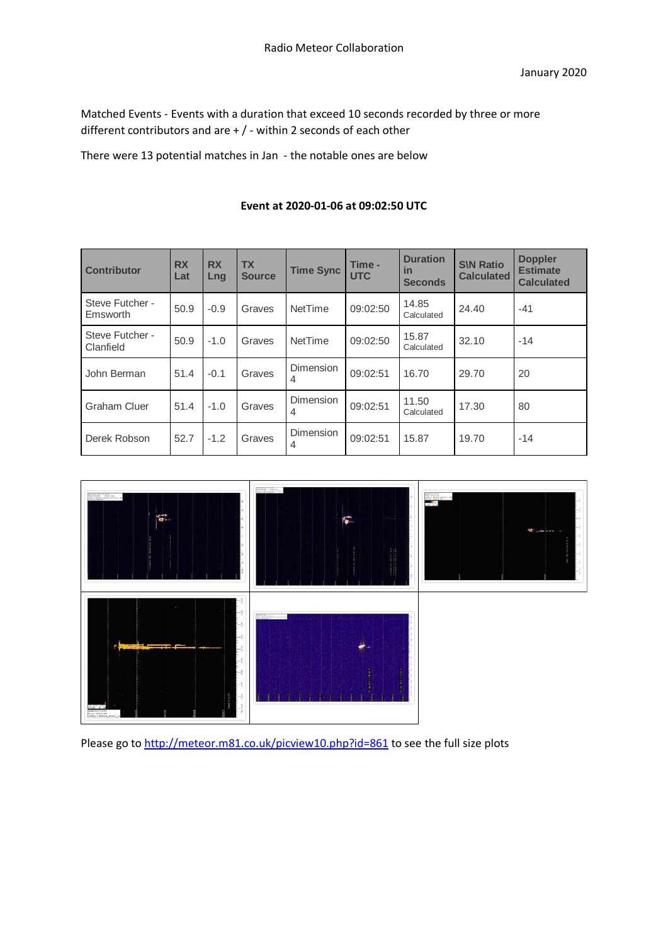Matched Events - Events with a duration that exceed 10 seconds recorded by three or more different contributors and are + / - within 2 seconds of each other

There were 13 potential matches in Jan - the notable ones are below

| <b>Contributor</b>           | <b>RX</b><br>Lat | <b>RX</b><br>Lng | <b>TX</b><br><b>Source</b> | <b>Time Sync</b>      | Time -<br><b>UTC</b> | <b>Duration</b><br>in<br><b>Seconds</b> | <b>S\N Ratio</b><br><b>Calculated</b> | <b>Doppler</b><br><b>Estimate</b><br><b>Calculated</b> |
|------------------------------|------------------|------------------|----------------------------|-----------------------|----------------------|-----------------------------------------|---------------------------------------|--------------------------------------------------------|
| Steve Futcher -<br>Emsworth  | 50.9             | $-0.9$           | Graves                     | <b>NetTime</b>        | 09:02:50             | 14.85<br>Calculated                     | 24.40                                 | $-41$                                                  |
| Steve Futcher -<br>Clanfield | 50.9             | $-1.0$           | Graves                     | <b>NetTime</b>        | 09:02:50             | 15.87<br>Calculated                     | 32.10                                 | $-14$                                                  |
| John Berman                  | 51.4             | $-0.1$           | Graves                     | <b>Dimension</b><br>4 | 09:02:51             | 16.70                                   | 29.70                                 | 20                                                     |
| Graham Cluer                 | 51.4             | $-1.0$           | Graves                     | Dimension<br>4        | 09:02:51             | 11.50<br>Calculated                     | 17.30                                 | 80                                                     |
| Derek Robson                 | 52.7             | $-1.2$           | Graves                     | Dimension<br>4        | 09:02:51             | 15.87                                   | 19.70                                 | $-14$                                                  |

## **Event at 2020-01-06 at 09:02:50 UTC**



Please go t[o http://meteor.m81.co.uk/picview10.php?id=861](http://meteor.m81.co.uk/picview10.php?id=861) to see the full size plots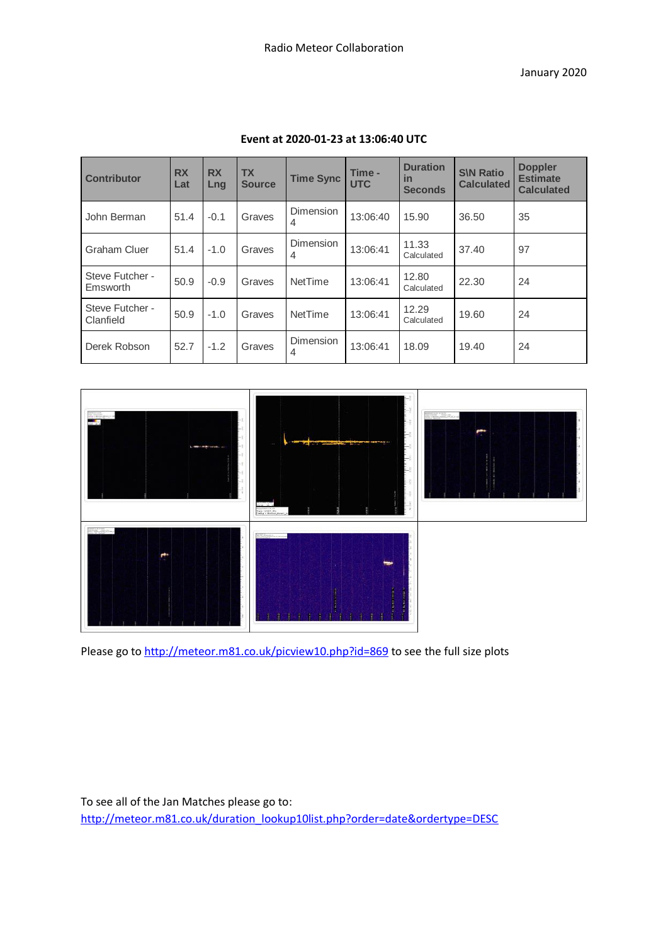| <b>Contributor</b>           | <b>RX</b><br>Lat | <b>RX</b><br>Lng | <b>TX</b><br><b>Source</b> | <b>Time Sync</b> | Time -<br><b>UTC</b> | <b>Duration</b><br>in<br><b>Seconds</b> | <b>S\N Ratio</b><br><b>Calculated</b> | <b>Doppler</b><br><b>Estimate</b><br><b>Calculated</b> |
|------------------------------|------------------|------------------|----------------------------|------------------|----------------------|-----------------------------------------|---------------------------------------|--------------------------------------------------------|
| John Berman                  | 51.4             | $-0.1$           | Graves                     | Dimension<br>4   | 13:06:40             | 15.90                                   | 36.50                                 | 35                                                     |
| Graham Cluer                 | 51.4             | $-1.0$           | Graves                     | Dimension<br>4   | 13:06:41             | 11.33<br>Calculated                     | 37.40                                 | 97                                                     |
| Steve Futcher -<br>Emsworth  | 50.9             | $-0.9$           | Graves                     | <b>NetTime</b>   | 13:06:41             | 12.80<br>Calculated                     | 22.30                                 | 24                                                     |
| Steve Futcher -<br>Clanfield | 50.9             | $-1.0$           | Graves                     | <b>NetTime</b>   | 13:06:41             | 12.29<br>Calculated                     | 19.60                                 | 24                                                     |
| Derek Robson                 | 52.7             | $-1.2$           | Graves                     | Dimension<br>4   | 13:06:41             | 18.09                                   | 19.40                                 | 24                                                     |

### **Event at 2020-01-23 at 13:06:40 UTC**



Please go t[o http://meteor.m81.co.uk/picview10.php?id=869](http://meteor.m81.co.uk/picview10.php?id=869) to see the full size plots